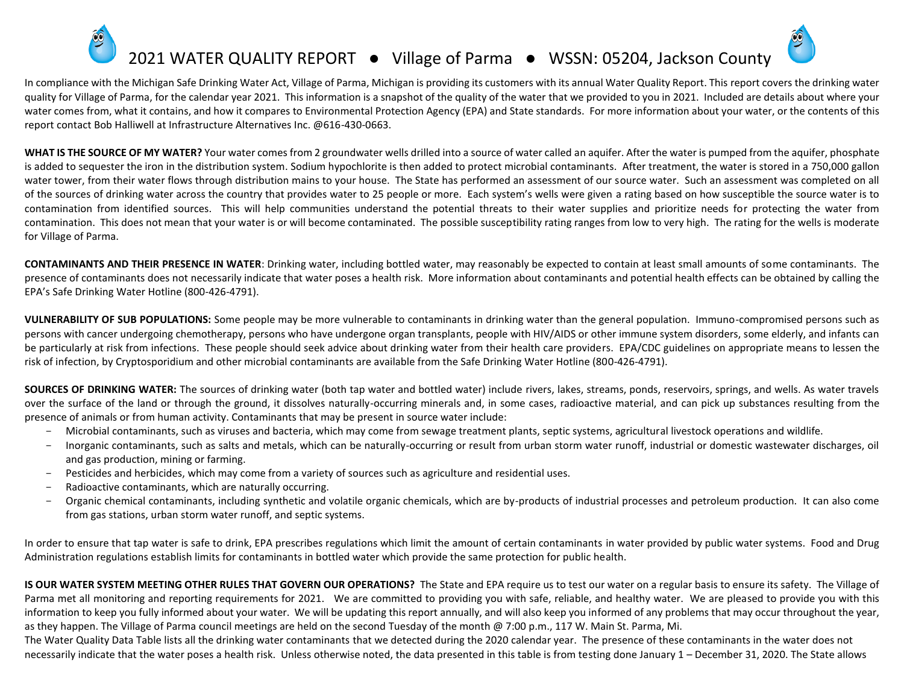## 2021 WATER QUALITY REPORT ● Village of Parma ● WSSN: 05204, Jackson County

In compliance with the Michigan Safe Drinking Water Act, Village of Parma, Michigan is providing its customers with its annual Water Quality Report. This report covers the drinking water quality for Village of Parma, for the calendar year 2021. This information is a snapshot of the quality of the water that we provided to you in 2021. Included are details about where your water comes from, what it contains, and how it compares to Environmental Protection Agency (EPA) and State standards. For more information about your water, or the contents of this report contact Bob Halliwell at Infrastructure Alternatives Inc. @616-430-0663.

WHAT IS THE SOURCE OF MY WATER? Your water comes from 2 groundwater wells drilled into a source of water called an aquifer. After the water is pumped from the aquifer, phosphate is added to sequester the iron in the distribution system. Sodium hypochlorite is then added to protect microbial contaminants. After treatment, the water is stored in a 750,000 gallon water tower, from their water flows through distribution mains to your house. The State has performed an assessment of our source water. Such an assessment was completed on all of the sources of drinking water across the country that provides water to 25 people or more. Each system's wells were given a rating based on how susceptible the source water is to contamination from identified sources. This will help communities understand the potential threats to their water supplies and prioritize needs for protecting the water from contamination. This does not mean that your water is or will become contaminated. The possible susceptibility rating ranges from low to very high. The rating for the wells is moderate for Village of Parma.

**CONTAMINANTS AND THEIR PRESENCE IN WATER**: Drinking water, including bottled water, may reasonably be expected to contain at least small amounts of some contaminants. The presence of contaminants does not necessarily indicate that water poses a health risk. More information about contaminants and potential health effects can be obtained by calling the EPA's Safe Drinking Water Hotline (800-426-4791).

**VULNERABILITY OF SUB POPULATIONS:** Some people may be more vulnerable to contaminants in drinking water than the general population. Immuno-compromised persons such as persons with cancer undergoing chemotherapy, persons who have undergone organ transplants, people with HIV/AIDS or other immune system disorders, some elderly, and infants can be particularly at risk from infections. These people should seek advice about drinking water from their health care providers. EPA/CDC guidelines on appropriate means to lessen the risk of infection, by Cryptosporidium and other microbial contaminants are available from the Safe Drinking Water Hotline (800-426-4791).

**SOURCES OF DRINKING WATER:** The sources of drinking water (both tap water and bottled water) include rivers, lakes, streams, ponds, reservoirs, springs, and wells. As water travels over the surface of the land or through the ground, it dissolves naturally-occurring minerals and, in some cases, radioactive material, and can pick up substances resulting from the presence of animals or from human activity. Contaminants that may be present in source water include:

- Microbial contaminants, such as viruses and bacteria, which may come from sewage treatment plants, septic systems, agricultural livestock operations and wildlife.
- Inorganic contaminants, such as salts and metals, which can be naturally-occurring or result from urban storm water runoff, industrial or domestic wastewater discharges, oil and gas production, mining or farming.
- Pesticides and herbicides, which may come from a variety of sources such as agriculture and residential uses.
- Radioactive contaminants, which are naturally occurring.
- Organic chemical contaminants, including synthetic and volatile organic chemicals, which are by-products of industrial processes and petroleum production. It can also come from gas stations, urban storm water runoff, and septic systems.

In order to ensure that tap water is safe to drink, EPA prescribes regulations which limit the amount of certain contaminants in water provided by public water systems. Food and Drug Administration regulations establish limits for contaminants in bottled water which provide the same protection for public health.

**IS OUR WATER SYSTEM MEETING OTHER RULES THAT GOVERN OUR OPERATIONS?** The State and EPA require us to test our water on a regular basis to ensure its safety. The Village of Parma met all monitoring and reporting requirements for 2021. We are committed to providing you with safe, reliable, and healthy water. We are pleased to provide you with this information to keep you fully informed about your water. We will be updating this report annually, and will also keep you informed of any problems that may occur throughout the year, as they happen. The Village of Parma council meetings are held on the second Tuesday of the month @ 7:00 p.m., 117 W. Main St. Parma, Mi.

The Water Quality Data Table lists all the drinking water contaminants that we detected during the 2020 calendar year. The presence of these contaminants in the water does not necessarily indicate that the water poses a health risk. Unless otherwise noted, the data presented in this table is from testing done January 1 – December 31, 2020. The State allows